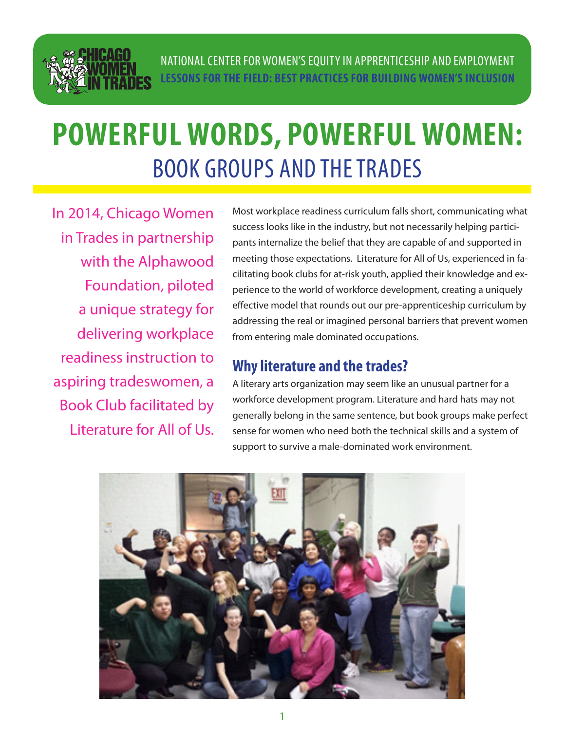

# **POWERFUL WORDS, POWERFUL WOMEN:**  BOOK GROUPS AND THE TRADES

In 2014, Chicago Women in Trades in partnership with the Alphawood Foundation, piloted a unique strategy for delivering workplace readiness instruction to aspiring tradeswomen, a Book Club facilitated by Literature for All of Us.

Most workplace readiness curriculum falls short, communicating what success looks like in the industry, but not necessarily helping participants internalize the belief that they are capable of and supported in meeting those expectations. Literature for All of Us, experienced in facilitating book clubs for at-risk youth, applied their knowledge and experience to the world of workforce development, creating a uniquely effective model that rounds out our pre-apprenticeship curriculum by addressing the real or imagined personal barriers that prevent women from entering male dominated occupations.

### **Why literature and the trades?**

A literary arts organization may seem like an unusual partner for a workforce development program. Literature and hard hats may not generally belong in the same sentence, but book groups make perfect sense for women who need both the technical skills and a system of support to survive a male-dominated work environment.

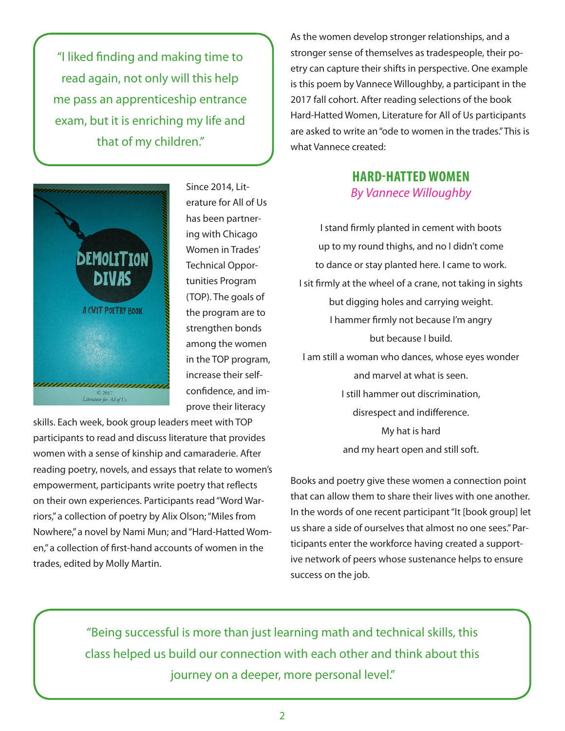"I liked finding and making time to read again, not only will this help me pass an apprenticeship entrance exam, but it is enriching my life and that of my children."



Since 2014, Literature for All of Us has been partnering with Chicago Women in Trades' Technical Opportunities Program (TOP). The goals of the program are to strengthen bonds among the women in the TOP program, increase their selfconfidence, and improve their literacy

skills. Each week, book group leaders meet with TOP participants to read and discuss literature that provides women with a sense of kinship and camaraderie. After reading poetry, novels, and essays that relate to women's empowerment, participants write poetry that reflects on their own experiences. Participants read "Word Warriors," a collection of poetry by Alix Olson; "Miles from Nowhere," a novel by Nami Mun; and "Hard-Hatted Women," a collection of first-hand accounts of women in the trades, edited by Molly Martin.

As the women develop stronger relationships, and a stronger sense of themselves as tradespeople, their poetry can capture their shifts in perspective. One example is this poem by Vannece Willoughby, a participant in the 2017 fall cohort. After reading selections of the book Hard-Hatted Women, Literature for All of Us participants are asked to write an "ode to women in the trades." This is what Vannece created:

#### **HARD-HATTED WOMEN** *By Vannece Willoughby*

I stand firmly planted in cement with boots up to my round thighs, and no I didn't come to dance or stay planted here. I came to work. I sit firmly at the wheel of a crane, not taking in sights but digging holes and carrying weight. I hammer firmly not because I'm angry but because I build. I am still a woman who dances, whose eyes wonder and marvel at what is seen. I still hammer out discrimination, disrespect and indifference. My hat is hard and my heart open and still soft.

Books and poetry give these women a connection point that can allow them to share their lives with one another. In the words of one recent participant "It [book group] let us share a side of ourselves that almost no one sees." Participants enter the workforce having created a supportive network of peers whose sustenance helps to ensure success on the job.

"Being successful is more than just learning math and technical skills, this class helped us build our connection with each other and think about this journey on a deeper, more personal level."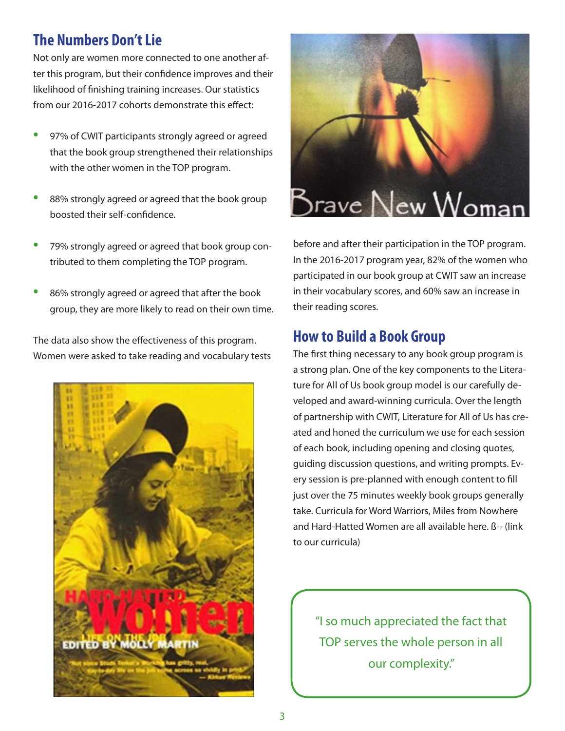# **The Numbers Don't Lie**

Not only are women more connected to one another after this program, but their confidence improves and their likelihood of finishing training increases. Our statistics from our 2016-2017 cohorts demonstrate this effect:

- 97% of CWIT participants strongly agreed or agreed that the book group strengthened their relationships with the other women in the TOP program.
- 88% strongly agreed or agreed that the book group boosted their self-confidence.
- 79% strongly agreed or agreed that book group contributed to them completing the TOP program.
- 86% strongly agreed or agreed that after the book group, they are more likely to read on their own time.

The data also show the effectiveness of this program. Women were asked to take reading and vocabulary tests





before and after their participation in the TOP program. In the 2016-2017 program year, 82% of the women who participated in our book group at CWIT saw an increase in their vocabulary scores, and 60% saw an increase in their reading scores.

## **How to Build a Book Group**

The first thing necessary to any book group program is a strong plan. One of the key components to the Literature for All of Us book group model is our carefully developed and award-winning curricula. Over the length of partnership with CWIT, Literature for All of Us has created and honed the curriculum we use for each session of each book, including opening and closing quotes, guiding discussion questions, and writing prompts. Every session is pre-planned with enough content to fill just over the 75 minutes weekly book groups generally take. Curricula for Word Warriors, Miles from Nowhere and Hard-Hatted Women are all available here. ß-- (link to our curricula)

"I so much appreciated the fact that TOP serves the whole person in all our complexity."